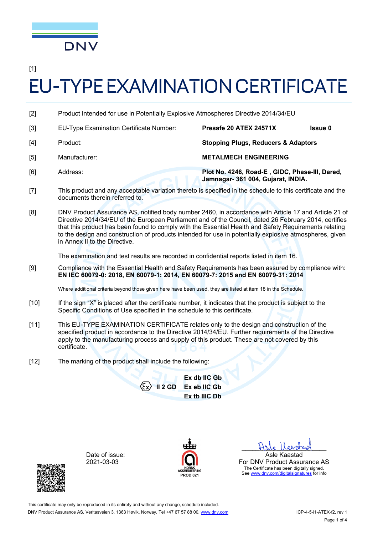

[1]

# EU-TYPE EXAMINATION CERTIFICATE

- [2] Product Intended for use in Potentially Explosive Atmospheres Directive 2014/34/EU
- [3] EU-Type Examination Certificate Number: **Presafe 20 ATEX 24571X Issue 0**  [4] Product: **Stopping Plugs, Reducers & Adaptors**  [5] Manufacturer: **METALMECH ENGINEERING**  [6] Address: **Plot No. 4246, Road-E , GIDC, Phase-III, Dared, Jamnagar- 361 004, Gujarat, INDIA.**
- [7] This product and any acceptable variation thereto is specified in the schedule to this certificate and the documents therein referred to.
- [8] DNV Product Assurance AS, notified body number 2460, in accordance with Article 17 and Article 21 of Directive 2014/34/EU of the European Parliament and of the Council, dated 26 February 2014, certifies that this product has been found to comply with the Essential Health and Safety Requirements relating to the design and construction of products intended for use in potentially explosive atmospheres, given in Annex II to the Directive.

The examination and test results are recorded in confidential reports listed in item 16.

[9] Compliance with the Essential Health and Safety Requirements has been assured by compliance with: **EN IEC 60079-0: 2018, EN 60079-1: 2014, EN 60079-7: 2015 and EN 60079-31: 2014** 

Where additional criteria beyond those given here have been used, they are listed at item 18 in the Schedule.

- [10] If the sign "X" is placed after the certificate number, it indicates that the product is subject to the Specific Conditions of Use specified in the schedule to this certificate.
- [11] This EU-TYPE EXAMINATION CERTIFICATE relates only to the design and construction of the specified product in accordance to the Directive 2014/34/EU. Further requirements of the Directive apply to the manufacturing process and supply of this product. These are not covered by this certificate.
- [12] The marking of the product shall include the following:

**II 2 GD Ex db IIC Gb Ex eb IIC Gb Ex tb IIIC Db** 

Date of issue: 2021-03-03



Hale laritad Asle Kaastad

For DNV Product Assurance AS The Certificate has been digitally signed. See www.dnv.com/digitalsignatures for info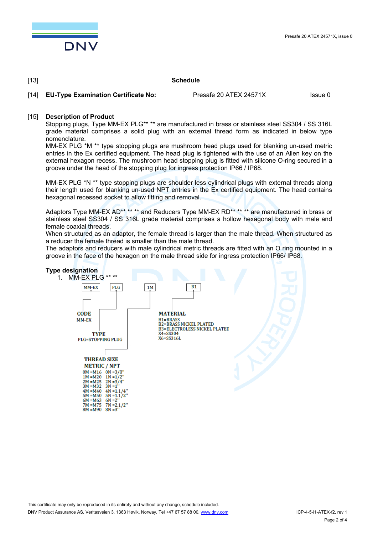

#### [13] **Schedule**

[14] **EU-Type Examination Certificate No:** Presafe 20 ATEX 24571X Issue 0

#### [15] **Description of Product**

Stopping plugs, Type MM-EX PLG\*\* \*\* are manufactured in brass or stainless steel SS304 / SS 316L grade material comprises a solid plug with an external thread form as indicated in below type nomenclature.

MM-EX PLG \*M \*\* type stopping plugs are mushroom head plugs used for blanking un-used metric entries in the Ex certified equipment. The head plug is tightened with the use of an Allen key on the external hexagon recess. The mushroom head stopping plug is fitted with silicone O-ring secured in a groove under the head of the stopping plug for ingress protection IP66 / IP68.

MM-EX PLG \*N \*\* type stopping plugs are shoulder less cylindrical plugs with external threads along their length used for blanking un-used NPT entries in the Ex certified equipment. The head contains hexagonal recessed socket to allow fitting and removal.

Adaptors Type MM-EX AD<sup>\*\*</sup> \*\* \*\* and Reducers Type MM-EX RD<sup>\*\*</sup> \*\* \*\* are manufactured in brass or stainless steel SS304 / SS 316L grade material comprises a hollow hexagonal body with male and female coaxial threads.

When structured as an adaptor, the female thread is larger than the male thread. When structured as a reducer the female thread is smaller than the male thread.

The adaptors and reducers with male cylindrical metric threads are fitted with an O ring mounted in a groove in the face of the hexagon on the male thread side for ingress protection IP66/ IP68.

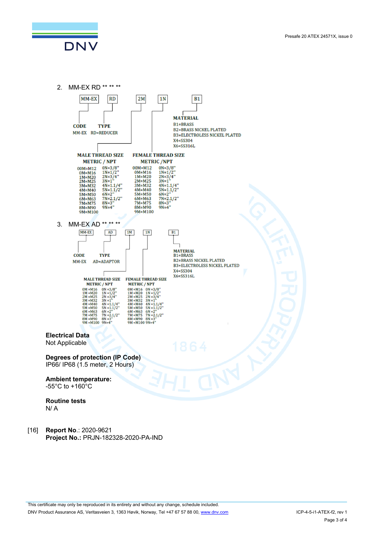DNV



[16] **Report No**.: 2020-9621 **Project No.:** PRJN-182328-2020-PA-IND